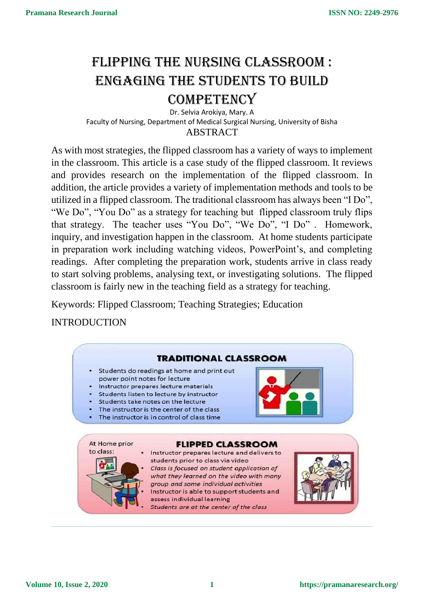# FLIPPING THE NURSING CLASSROOM : Engaging the students to build

## **COMPETENCY**

Dr. Selvia Arokiya, Mary. A Faculty of Nursing, Department of Medical Surgical Nursing, University of Bisha **ABSTRACT** 

As with most strategies, the flipped classroom has a variety of ways to implement in the classroom. This article is a case study of the flipped classroom. It reviews and provides research on the implementation of the flipped classroom. In addition, the article provides a variety of implementation methods and tools to be utilized in a flipped classroom. The traditional classroom has always been "I Do", "We Do", "You Do" as a strategy for teaching but flipped classroom truly flips that strategy. The teacher uses "You Do", "We Do", "I Do" . Homework, inquiry, and investigation happen in the classroom. At home students participate in preparation work including watching videos, PowerPoint's, and completing readings. After completing the preparation work, students arrive in class ready to start solving problems, analysing text, or investigating solutions. The flipped classroom is fairly new in the teaching field as a strategy for teaching.

Keywords: Flipped Classroom; Teaching Strategies; Education

INTRODUCTION

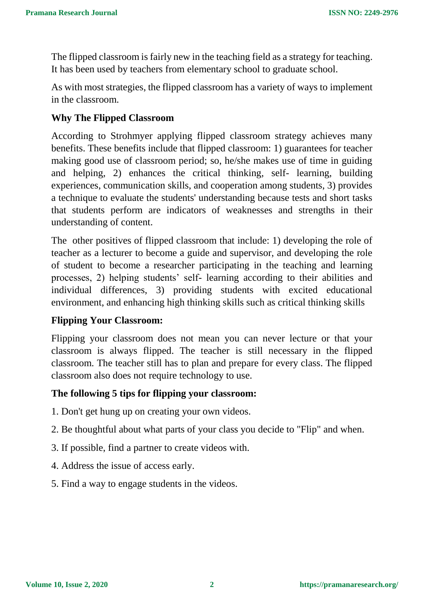The flipped classroom is fairly new in the teaching field as a strategy for teaching. It has been used by teachers from elementary school to graduate school.

As with most strategies, the flipped classroom has a variety of ways to implement in the classroom.

#### **Why The Flipped Classroom**

According to Strohmyer applying flipped classroom strategy achieves many benefits. These benefits include that flipped classroom: 1) guarantees for teacher making good use of classroom period; so, he/she makes use of time in guiding and helping, 2) enhances the critical thinking, self- learning, building experiences, communication skills, and cooperation among students, 3) provides a technique to evaluate the students' understanding because tests and short tasks that students perform are indicators of weaknesses and strengths in their understanding of content.

The other positives of flipped classroom that include: 1) developing the role of teacher as a lecturer to become a guide and supervisor, and developing the role of student to become a researcher participating in the teaching and learning processes, 2) helping students' self- learning according to their abilities and individual differences, 3) providing students with excited educational environment, and enhancing high thinking skills such as critical thinking skills

#### **Flipping Your Classroom:**

Flipping your classroom does not mean you can never lecture or that your classroom is always flipped. The teacher is still necessary in the flipped classroom. The teacher still has to plan and prepare for every class. The flipped classroom also does not require technology to use.

#### **The following 5 tips for flipping your classroom:**

- 1. Don't get hung up on creating your own videos.
- 2. Be thoughtful about what parts of your class you decide to "Flip" and when.
- 3. If possible, find a partner to create videos with.
- 4. Address the issue of access early.
- 5. Find a way to engage students in the videos.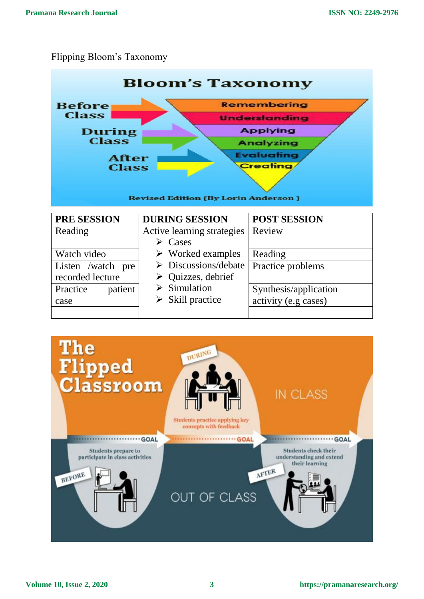### Flipping Bloom's Taxonomy

Practice patient

case



Synthesis/application activity (e.g cases)

 $\triangleright$  Simulation  $\triangleright$  Skill practice

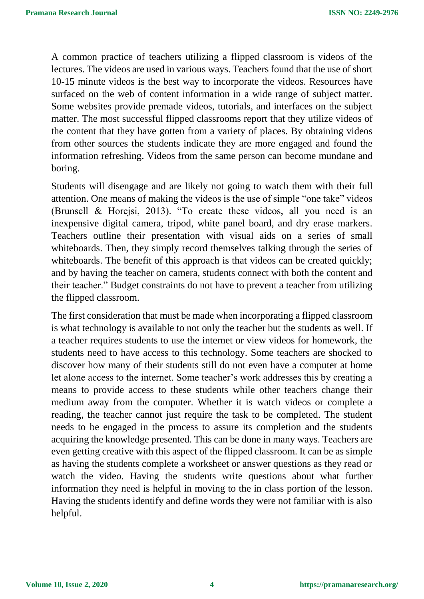A common practice of teachers utilizing a flipped classroom is videos of the lectures. The videos are used in various ways. Teachers found that the use of short 10-15 minute videos is the best way to incorporate the videos. Resources have surfaced on the web of content information in a wide range of subject matter. Some websites provide premade videos, tutorials, and interfaces on the subject matter. The most successful flipped classrooms report that they utilize videos of the content that they have gotten from a variety of places. By obtaining videos from other sources the students indicate they are more engaged and found the information refreshing. Videos from the same person can become mundane and boring.

Students will disengage and are likely not going to watch them with their full attention. One means of making the videos is the use of simple "one take" videos (Brunsell & Horejsi, 2013). "To create these videos, all you need is an inexpensive digital camera, tripod, white panel board, and dry erase markers. Teachers outline their presentation with visual aids on a series of small whiteboards. Then, they simply record themselves talking through the series of whiteboards. The benefit of this approach is that videos can be created quickly; and by having the teacher on camera, students connect with both the content and their teacher." Budget constraints do not have to prevent a teacher from utilizing the flipped classroom.

The first consideration that must be made when incorporating a flipped classroom is what technology is available to not only the teacher but the students as well. If a teacher requires students to use the internet or view videos for homework, the students need to have access to this technology. Some teachers are shocked to discover how many of their students still do not even have a computer at home let alone access to the internet. Some teacher's work addresses this by creating a means to provide access to these students while other teachers change their medium away from the computer. Whether it is watch videos or complete a reading, the teacher cannot just require the task to be completed. The student needs to be engaged in the process to assure its completion and the students acquiring the knowledge presented. This can be done in many ways. Teachers are even getting creative with this aspect of the flipped classroom. It can be as simple as having the students complete a worksheet or answer questions as they read or watch the video. Having the students write questions about what further information they need is helpful in moving to the in class portion of the lesson. Having the students identify and define words they were not familiar with is also helpful.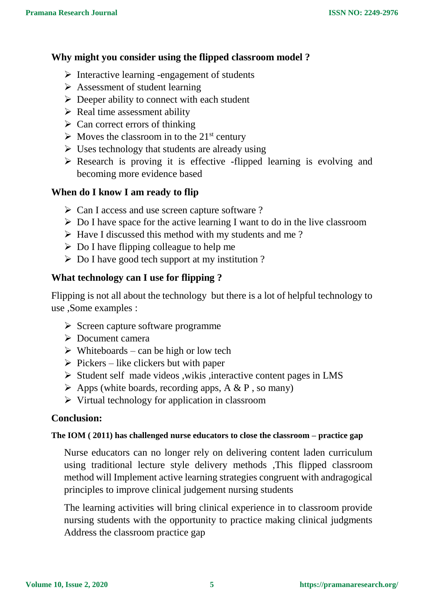#### **Why might you consider using the flipped classroom model ?**

- $\triangleright$  Interactive learning -engagement of students
- $\triangleright$  Assessment of student learning
- $\triangleright$  Deeper ability to connect with each student
- $\triangleright$  Real time assessment ability
- $\triangleright$  Can correct errors of thinking
- $\triangleright$  Moves the classroom in to the 21<sup>st</sup> century
- $\triangleright$  Uses technology that students are already using
- $\triangleright$  Research is proving it is effective -flipped learning is evolving and becoming more evidence based

#### **When do I know I am ready to flip**

- Can I access and use screen capture software ?
- $\triangleright$  Do I have space for the active learning I want to do in the live classroom
- $\triangleright$  Have I discussed this method with my students and me?
- $\triangleright$  Do I have flipping colleague to help me
- $\triangleright$  Do I have good tech support at my institution ?

#### **What technology can I use for flipping ?**

Flipping is not all about the technology but there is a lot of helpful technology to use ,Some examples :

- $\triangleright$  Screen capture software programme
- Document camera
- $\triangleright$  Whiteboards can be high or low tech
- $\triangleright$  Pickers like clickers but with paper
- $\triangleright$  Student self made videos ,wikis , interactive content pages in LMS
- $\triangleright$  Apps (white boards, recording apps, A & P, so many)
- $\triangleright$  Virtual technology for application in classroom

#### **Conclusion:**

#### **The IOM ( 2011) has challenged nurse educators to close the classroom – practice gap**

Nurse educators can no longer rely on delivering content laden curriculum using traditional lecture style delivery methods ,This flipped classroom method will Implement active learning strategies congruent with andragogical principles to improve clinical judgement nursing students

The learning activities will bring clinical experience in to classroom provide nursing students with the opportunity to practice making clinical judgments Address the classroom practice gap